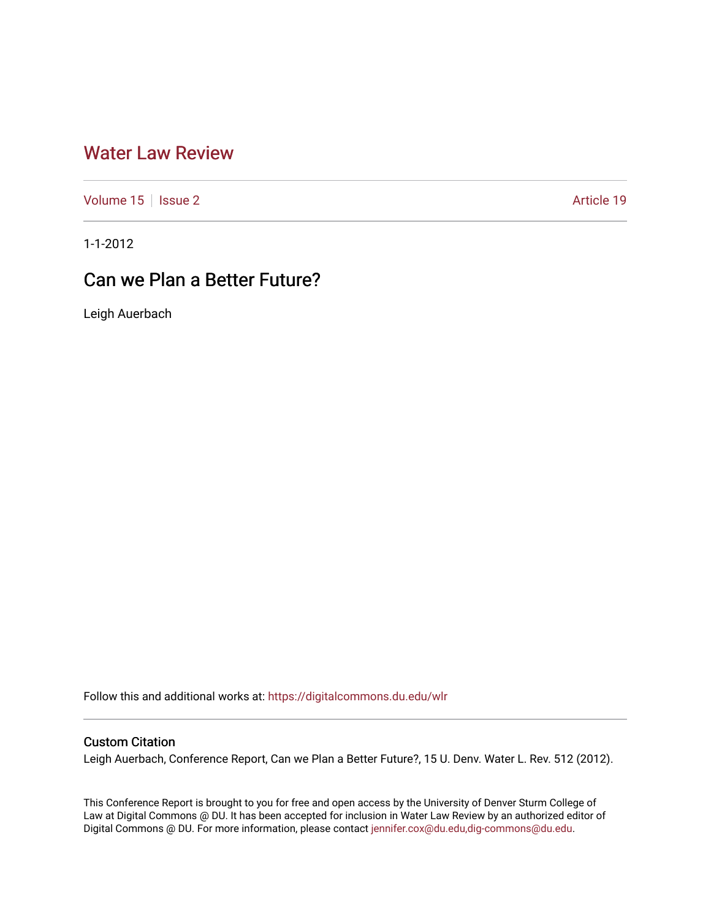## [Water Law Review](https://digitalcommons.du.edu/wlr)

[Volume 15](https://digitalcommons.du.edu/wlr/vol15) | [Issue 2](https://digitalcommons.du.edu/wlr/vol15/iss2) Article 19

1-1-2012

# Can we Plan a Better Future?

Leigh Auerbach

Follow this and additional works at: [https://digitalcommons.du.edu/wlr](https://digitalcommons.du.edu/wlr?utm_source=digitalcommons.du.edu%2Fwlr%2Fvol15%2Fiss2%2F19&utm_medium=PDF&utm_campaign=PDFCoverPages) 

### Custom Citation

Leigh Auerbach, Conference Report, Can we Plan a Better Future?, 15 U. Denv. Water L. Rev. 512 (2012).

This Conference Report is brought to you for free and open access by the University of Denver Sturm College of Law at Digital Commons @ DU. It has been accepted for inclusion in Water Law Review by an authorized editor of Digital Commons @ DU. For more information, please contact [jennifer.cox@du.edu,dig-commons@du.edu](mailto:jennifer.cox@du.edu,dig-commons@du.edu).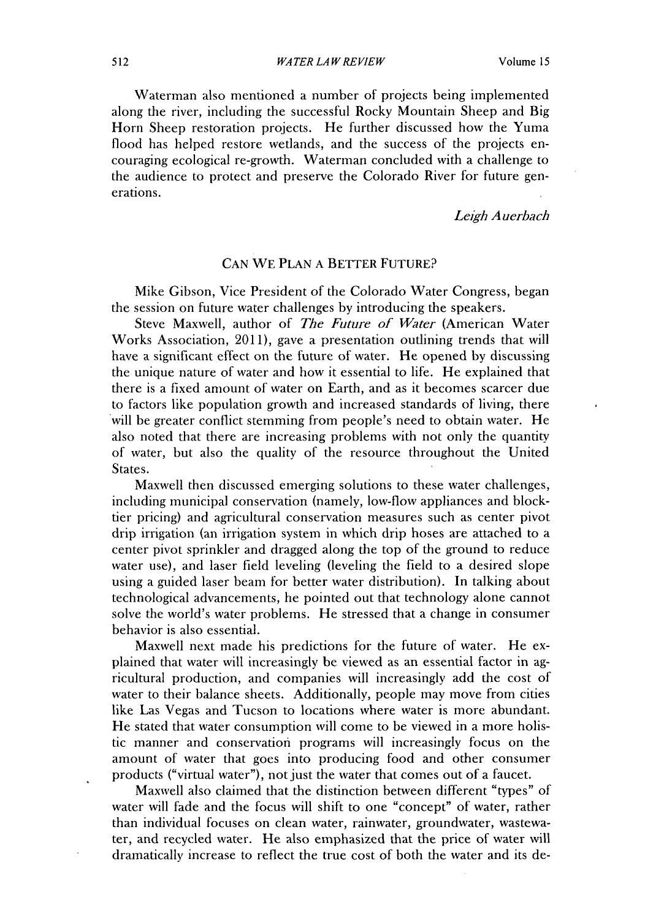Waterman also mentioned a number of projects being implemented along the river, including the successful Rocky Mountain Sheep and **Big** Horn Sheep restoration projects. He further discussed how the Yuma flood has helped restore wetlands, and the success of the projects encouraging ecological re-growth. Waterman concluded with a challenge to the audience to protect and preserve the Colorado River for future generations.

*Leigh Auerbach*

#### **CAN** WE **PLAN A** BETTER **FUTURE?**

Mike Gibson, Vice President of the Colorado Water Congress, began the session on future water challenges **by** introducing the speakers.

Steve Maxwell, author of *The Future of Water* (American Water Works Association, **2011),** gave a presentation outlining trends that will have a significant effect on the future of water. He opened **by** discussing the unique nature of water and how it essential to life. He explained that there is a fixed amount of water on Earth, and as it becomes scarcer due to factors like population growth and increased standards of living, there will be greater conflict stemming from people's need to obtain water. He also noted that there are increasing problems with not only the quantity of water, but also the quality of the resource throughout the United States.

Maxwell then discussed emerging solutions to these water challenges, including municipal conservation (namely, low-flow appliances and blocktier pricing) and agricultural conservation measures such as center pivot drip irrigation (an irrigation system in which drip hoses are attached to a center pivot sprinkler and dragged along the top of the ground to reduce water use), and laser field leveling (leveling the field to a desired slope using a guided laser beam for better water distribution). In talking about technological advancements, he pointed out that technology alone cannot solve the world's water problems. He stressed that a change in consumer behavior is also essential.

Maxwell next made his predictions for the future of water. He explained that water will increasingly **be** viewed as an essential factor in agricultural production, and companies will increasingly add the cost of water to their balance sheets. Additionally, people may move from cities like Las Vegas and Tucson to locations where water is more abundant. He stated that water consumption will come to be viewed in a more holistic manner and conservation programs will increasingly focus on the amount of water that goes into producing food and other consumer products ("virtual water"), not just the water that comes out of a faucet.

Maxwell also claimed that the distinction between different "types" of water will fade and the focus will shift to one "concept" of water, rather than individual focuses on clean water, rainwater, groundwater, wastewater, and recycled water. He also emphasized that the price of water will dramatically increase to reflect the true cost of both the water and its de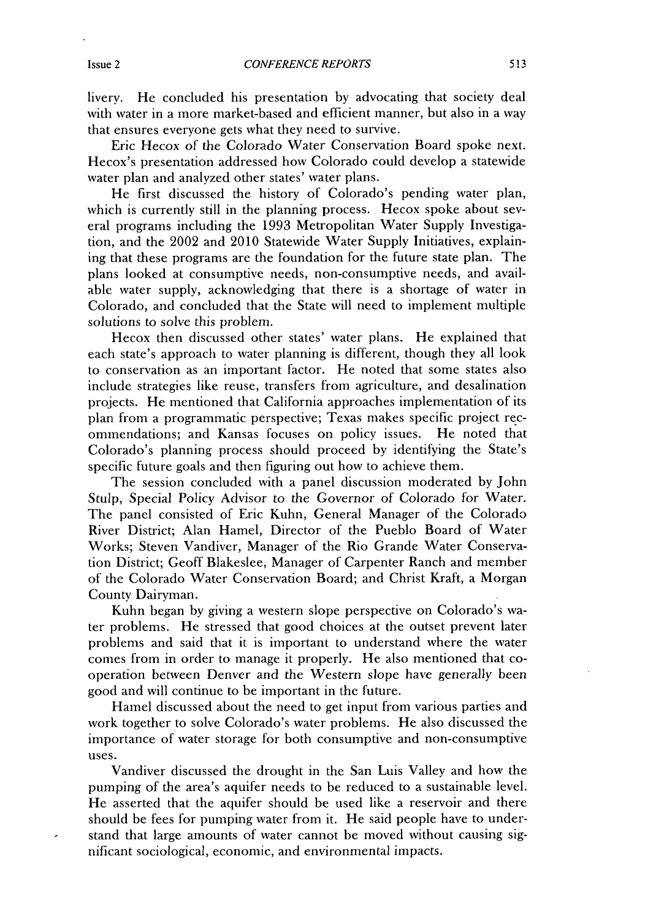livery. He concluded his presentation **by** advocating that society deal with water in a more market-based and efficient manner, but also in a way that ensures everyone gets what they need to survive.

Eric Hecox of the Colorado Water Conservation Board spoke next. Hecox's presentation addressed how Colorado could develop a statewide water plan and analyzed other states' water plans.

He first discussed the history of Colorado's pending water plan, which is currently still in the planning process. Hecox spoke about several programs including the **1993** Metropolitan Water Supply Investigation, and the 2002 and 2010 Statewide Water Supply Initiatives, explaining that these programs are the foundation for the future state plan. The plans looked at consumptive needs, non-consumptive needs, and available water supply, acknowledging that there is a shortage of water in Colorado, and concluded that the State will need to implement multiple solutions to solve this problem.

Hecox then discussed other states' water plans. He explained that each state's approach to water planning is different, though they all look to conservation as an important factor. He noted that some states also include strategies like reuse, transfers from agriculture, and desalination projects. He mentioned that California approaches implementation of its plan from a programmatic perspective; Texas makes specific project recommendations; and Kansas focuses on policy issues. He noted that Colorado's planning process should proceed **by** identifying the State's specific future goals and then Figuring out how to achieve them.

The session concluded with a panel discussion moderated **by** John Stulp, Special Policy Advisor to the Governor of Colorado for Water. The panel consisted of Eric Kuhn, General Manager of the Colorado River District; Alan Hamel, Director of the Pueblo Board of Water Works; Steven Vandiver, Manager of the Rio Grande Water Conservation District; Geoff Blakeslee, Manager of Carpenter Ranch and member of the Colorado Water Conservation Board; and Christ Kraft, a Morgan County Dairyman.

Kuhn began **by** giving a western slope perspective on Colorado's water problems. He stressed that good choices at the outset prevent later problems and said that it is important to understand where the water comes from in order to manage it properly. He also mentioned that cooperation between Denver and the Western slope have generally been good and will continue to be important in the future.

Hamel discussed about the need to get input from various parties and work together to solve Colorado's water problems. He also discussed the importance of water storage for both consumptive and non-consumptive uses.

Vandiver discussed the drought in the San Luis Valley and how the pumping of the area's aquifer needs to be reduced to a sustainable level. He asserted that the aquifer should be used like a reservoir and there should be fees for pumping water from it. He said people have to understand that large amounts of water cannot be moved without causing significant sociological, economic, and environmental impacts.